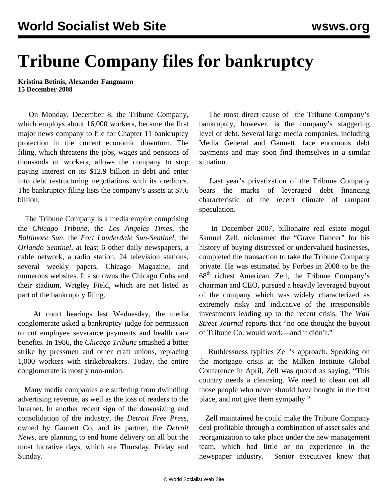## **Tribune Company files for bankruptcy**

**Kristina Betinis, Alexander Fangmann 15 December 2008**

 On Monday, December 8, the Tribune Company, which employs about 16,000 workers, became the first major news company to file for Chapter 11 bankruptcy protection in the current economic downturn. The filing, which threatens the jobs, wages and pensions of thousands of workers, allows the company to stop paying interest on its \$12.9 billion in debt and enter into debt restructuring negotiations with its creditors. The bankruptcy filing lists the company's assets at \$7.6 billion.

 The Tribune Company is a media empire comprising the *Chicago Tribune*, the *Los Angeles Times*, the *Baltimore Sun*, the *Fort Lauderdale Sun-Sentinel*, the *Orlando Sentinel*, at least 6 other daily newspapers, a cable network, a radio station, 24 television stations, several weekly papers, Chicago Magazine, and numerous websites. It also owns the Chicago Cubs and their stadium, Wrigley Field, which are not listed as part of the bankruptcy filing.

 At court hearings last Wednesday, the media conglomerate asked a bankruptcy judge for permission to cut employee severance payments and health care benefits. In 1986, the *Chicago Tribune* smashed a bitter strike by pressmen and other craft unions, replacing 1,000 workers with strikebreakers. Today, the entire conglomerate is mostly non-union.

 Many media companies are suffering from dwindling advertising revenue, as well as the loss of readers to the Internet. In another recent sign of the downsizing and consolidation of the industry, the *Detroit Free Press*, owned by Gannett Co, and its partner, the *Detroit News*, are planning to end home delivery on all but the most lucrative days, which are Thursday, Friday and Sunday.

 The most direct cause of the Tribune Company's bankruptcy, however, is the company's staggering level of debt. Several large media companies, including Media General and Gannett, face enormous debt payments and may soon find themselves in a similar situation.

 Last year's privatization of the Tribune Company bears the marks of leveraged debt financing characteristic of the recent climate of rampant speculation.

 In December 2007, billionaire real estate mogul Samuel Zell, nicknamed the "Grave Dancer" for his history of buying distressed or undervalued businesses, completed the transaction to take the Tribune Company private. He was estimated by Forbes in 2008 to be the  $68<sup>th</sup>$  richest American. Zell, the Tribune Company's chairman and CEO, pursued a heavily leveraged buyout of the company which was widely characterized as extremely risky and indicative of the irresponsible investments leading up to the recent crisis. The *Wall Street Journal* reports that "no one thought the buyout of Tribune Co. would work—and it didn't."

 Ruthlessness typifies Zell's approach. Speaking on the mortgage crisis at the Milken Institute Global Conference in April, Zell was quoted as saying, "This country needs a cleansing. We need to clean out all those people who never should have bought in the first place, and not give them sympathy."

 Zell maintained he could make the Tribune Company deal profitable through a combination of asset sales and reorganization to take place under the new management team, which had little or no experience in the newspaper industry. Senior executives knew that